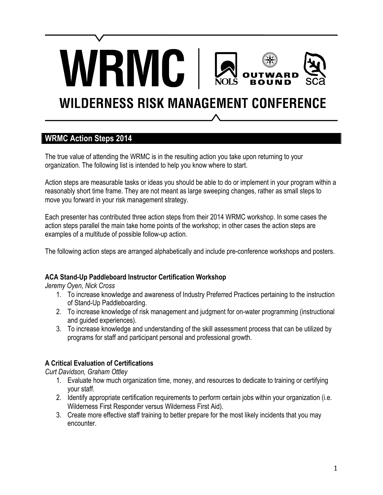# **WILDERNESS RISK MANAGEMENT CONFERENCE**

#### **WRMC Action Steps 2014**

The true value of attending the WRMC is in the resulting action you take upon returning to your organization. The following list is intended to help you know where to start.

**RMC** 

Action steps are measurable tasks or ideas you should be able to do or implement in your program within a reasonably short time frame. They are not meant as large sweeping changes, rather as small steps to move you forward in your risk management strategy.

Each presenter has contributed three action steps from their 2014 WRMC workshop. In some cases the action steps parallel the main take home points of the workshop; in other cases the action steps are examples of a multitude of possible follow-up action.

The following action steps are arranged alphabetically and include pre-conference workshops and posters.

#### **ACA Stand-Up Paddleboard Instructor Certification Workshop**

*Jeremy Oyen, Nick Cross*

- 1. To increase knowledge and awareness of Industry Preferred Practices pertaining to the instruction of Stand-Up Paddleboarding.
- 2. To increase knowledge of risk management and judgment for on-water programming (instructional and guided experiences).
- 3. To increase knowledge and understanding of the skill assessment process that can be utilized by programs for staff and participant personal and professional growth.

#### **A Critical Evaluation of Certifications**

*Curt Davidson, Graham Ottley*

- 1. Evaluate how much organization time, money, and resources to dedicate to training or certifying your staff.
- 2. Identify appropriate certification requirements to perform certain jobs within your organization (i.e. Wilderness First Responder versus Wilderness First Aid).
- 3. Create more effective staff training to better prepare for the most likely incidents that you may encounter.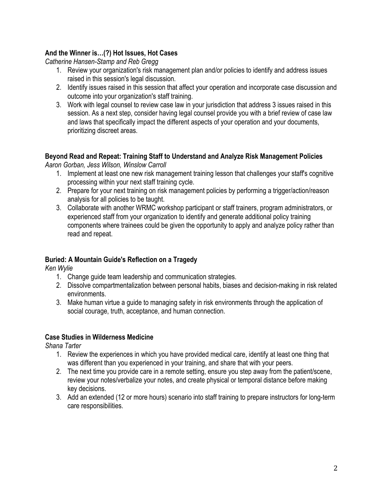#### **And the Winner is…(?) Hot Issues, Hot Cases**

*Catherine Hansen-Stamp and Reb Gregg*

- 1. Review your organization's risk management plan and/or policies to identify and address issues raised in this session's legal discussion.
- 2. Identify issues raised in this session that affect your operation and incorporate case discussion and outcome into your organization's staff training.
- 3. Work with legal counsel to review case law in your jurisdiction that address 3 issues raised in this session. As a next step, consider having legal counsel provide you with a brief review of case law and laws that specifically impact the different aspects of your operation and your documents, prioritizing discreet areas.

### **Beyond Read and Repeat: Training Staff to Understand and Analyze Risk Management Policies**

*Aaron Gorban, Jess Wilson, Winslow Carroll* 

- 1. Implement at least one new risk management training lesson that challenges your staff's cognitive processing within your next staff training cycle.
- 2. Prepare for your next training on risk management policies by performing a trigger/action/reason analysis for all policies to be taught.
- 3. Collaborate with another WRMC workshop participant or staff trainers, program administrators, or experienced staff from your organization to identify and generate additional policy training components where trainees could be given the opportunity to apply and analyze policy rather than read and repeat.

#### **Buried: A Mountain Guide's Reflection on a Tragedy**

*Ken Wylie*

- 1. Change guide team leadership and communication strategies.
- 2. Dissolve compartmentalization between personal habits, biases and decision-making in risk related environments.
- 3. Make human virtue a guide to managing safety in risk environments through the application of social courage, truth, acceptance, and human connection.

#### **Case Studies in Wilderness Medicine**

*Shana Tarter*

- 1. Review the experiences in which you have provided medical care, identify at least one thing that was different than you experienced in your training, and share that with your peers.
- 2. The next time you provide care in a remote setting, ensure you step away from the patient/scene, review your notes/verbalize your notes, and create physical or temporal distance before making key decisions.
- 3. Add an extended (12 or more hours) scenario into staff training to prepare instructors for long-term care responsibilities.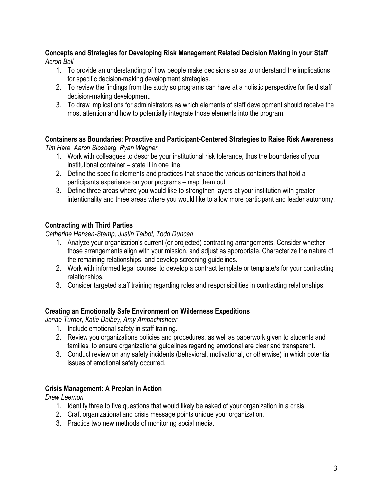#### **Concepts and Strategies for Developing Risk Management Related Decision Making in your Staff** *Aaron Ball*

- 1. To provide an understanding of how people make decisions so as to understand the implications for specific decision-making development strategies.
- 2. To review the findings from the study so programs can have at a holistic perspective for field staff decision-making development.
- 3. To draw implications for administrators as which elements of staff development should receive the most attention and how to potentially integrate those elements into the program.

#### **Containers as Boundaries: Proactive and Participant-Centered Strategies to Raise Risk Awareness**

*Tim Hare, Aaron Slosberg, Ryan Wagner* 

- 1. Work with colleagues to describe your institutional risk tolerance, thus the boundaries of your institutional container – state it in one line.
- 2. Define the specific elements and practices that shape the various containers that hold a participants experience on your programs – map them out.
- 3. Define three areas where you would like to strengthen layers at your institution with greater intentionality and three areas where you would like to allow more participant and leader autonomy.

#### **Contracting with Third Parties**

*Catherine Hansen-Stamp, Justin Talbot, Todd Duncan*

- 1. Analyze your organization's current (or projected) contracting arrangements. Consider whether those arrangements align with your mission, and adjust as appropriate. Characterize the nature of the remaining relationships, and develop screening guidelines.
- 2. Work with informed legal counsel to develop a contract template or template/s for your contracting relationships.
- 3. Consider targeted staff training regarding roles and responsibilities in contracting relationships.

#### **Creating an Emotionally Safe Environment on Wilderness Expeditions**

*Janae Turner, Katie Dalbey, Amy Ambachtsheer* 

- 1. Include emotional safety in staff training.
- 2. Review you organizations policies and procedures, as well as paperwork given to students and families, to ensure organizational guidelines regarding emotional are clear and transparent.
- 3. Conduct review on any safety incidents (behavioral, motivational, or otherwise) in which potential issues of emotional safety occurred.

#### **Crisis Management: A Preplan in Action**

*Drew Leemon*

- 1. Identify three to five questions that would likely be asked of your organization in a crisis.
- 2. Craft organizational and crisis message points unique your organization.
- 3. Practice two new methods of monitoring social media.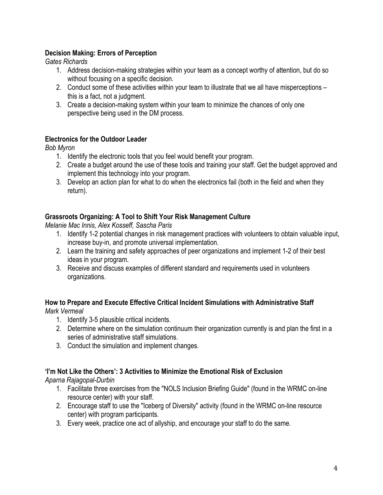#### **Decision Making: Errors of Perception**

*Gates Richards*

- 1. Address decision-making strategies within your team as a concept worthy of attention, but do so without focusing on a specific decision.
- 2. Conduct some of these activities within your team to illustrate that we all have misperceptions this is a fact, not a judgment.
- 3. Create a decision-making system within your team to minimize the chances of only one perspective being used in the DM process.

#### **Electronics for the Outdoor Leader**

*Bob Myron*

- 1. Identify the electronic tools that you feel would benefit your program.
- 2. Create a budget around the use of these tools and training your staff. Get the budget approved and implement this technology into your program.
- 3. Develop an action plan for what to do when the electronics fail (both in the field and when they return).

#### **Grassroots Organizing: A Tool to Shift Your Risk Management Culture**

*Melanie Mac Innis, Alex Kosseff, Sascha Paris*

- 1. Identify 1-2 potential changes in risk management practices with volunteers to obtain valuable input, increase buy-in, and promote universal implementation.
- 2. Learn the training and safety approaches of peer organizations and implement 1-2 of their best ideas in your program.
- 3. Receive and discuss examples of different standard and requirements used in volunteers organizations.

## **How to Prepare and Execute Effective Critical Incident Simulations with Administrative Staff**

*Mark Vermeal*

- 1. Identify 3-5 plausible critical incidents.
- 2. Determine where on the simulation continuum their organization currently is and plan the first in a series of administrative staff simulations.
- 3. Conduct the simulation and implement changes.

#### **'I'm Not Like the Others': 3 Activities to Minimize the Emotional Risk of Exclusion**

*Aparna Rajagopal-Durbin*

- 1. Facilitate three exercises from the "NOLS Inclusion Briefing Guide" (found in the WRMC on-line resource center) with your staff.
- 2. Encourage staff to use the "Iceberg of Diversity" activity (found in the WRMC on-line resource center) with program participants.
- 3. Every week, practice one act of allyship, and encourage your staff to do the same.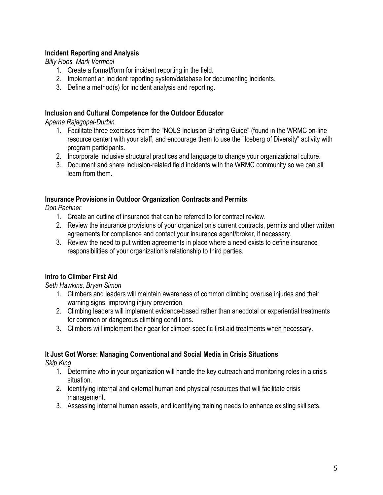#### **Incident Reporting and Analysis**

*Billy Roos, Mark Vermeal*

- 1. Create a format/form for incident reporting in the field.
- 2. Implement an incident reporting system/database for documenting incidents.
- 3. Define a method(s) for incident analysis and reporting.

#### **Inclusion and Cultural Competence for the Outdoor Educator**

*Aparna Rajagopal-Durbin*

- 1. Facilitate three exercises from the "NOLS Inclusion Briefing Guide" (found in the WRMC on-line resource center) with your staff, and encourage them to use the "Iceberg of Diversity" activity with program participants.
- 2. Incorporate inclusive structural practices and language to change your organizational culture.
- 3. Document and share inclusion-related field incidents with the WRMC community so we can all learn from them.

#### **Insurance Provisions in Outdoor Organization Contracts and Permits**

*Don Pachner*

- 1. Create an outline of insurance that can be referred to for contract review.
- 2. Review the insurance provisions of your organization's current contracts, permits and other written agreements for compliance and contact your insurance agent/broker, if necessary.
- 3. Review the need to put written agreements in place where a need exists to define insurance responsibilities of your organization's relationship to third parties.

#### **Intro to Climber First Aid**

*Seth Hawkins, Bryan Simon*

- 1. Climbers and leaders will maintain awareness of common climbing overuse injuries and their warning signs, improving injury prevention.
- 2. Climbing leaders will implement evidence-based rather than anecdotal or experiential treatments for common or dangerous climbing conditions.
- 3. Climbers will implement their gear for climber-specific first aid treatments when necessary.

#### **It Just Got Worse: Managing Conventional and Social Media in Crisis Situations**

*Skip King*

- 1. Determine who in your organization will handle the key outreach and monitoring roles in a crisis situation.
- 2. Identifying internal and external human and physical resources that will facilitate crisis management.
- 3. Assessing internal human assets, and identifying training needs to enhance existing skillsets.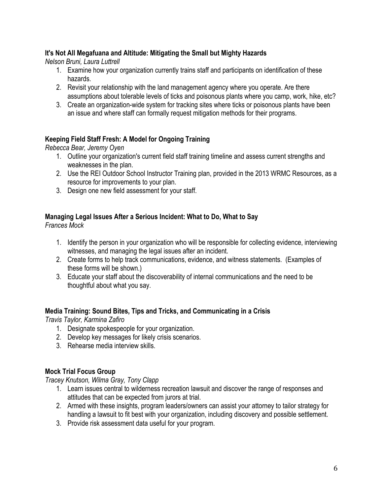#### **It's Not All Megafuana and Altitude: Mitigating the Small but Mighty Hazards**

*Nelson Bruni, Laura Luttrell* 

- 1. Examine how your organization currently trains staff and participants on identification of these hazards.
- 2. Revisit your relationship with the land management agency where you operate. Are there assumptions about tolerable levels of ticks and poisonous plants where you camp, work, hike, etc?
- 3. Create an organization-wide system for tracking sites where ticks or poisonous plants have been an issue and where staff can formally request mitigation methods for their programs.

#### **Keeping Field Staff Fresh: A Model for Ongoing Training**

*Rebecca Bear, Jeremy Oyen*

- 1. Outline your organization's current field staff training timeline and assess current strengths and weaknesses in the plan.
- 2. Use the REI Outdoor School Instructor Training plan, provided in the 2013 WRMC Resources, as a resource for improvements to your plan.
- 3. Design one new field assessment for your staff.

#### **Managing Legal Issues After a Serious Incident: What to Do, What to Say**

*Frances Mock*

- 1. Identify the person in your organization who will be responsible for collecting evidence, interviewing witnesses, and managing the legal issues after an incident.
- 2. Create forms to help track communications, evidence, and witness statements. (Examples of these forms will be shown.)
- 3. Educate your staff about the discoverability of internal communications and the need to be thoughtful about what you say.

#### **Media Training: Sound Bites, Tips and Tricks, and Communicating in a Crisis**

*Travis Taylor, Karmina Zafiro*

- 1. Designate spokespeople for your organization.
- 2. Develop key messages for likely crisis scenarios.
- 3. Rehearse media interview skills.

#### **Mock Trial Focus Group**

*Tracey Knutson, Wilma Gray, Tony Clapp*

- 1. Learn issues central to wilderness recreation lawsuit and discover the range of responses and attitudes that can be expected from jurors at trial.
- 2. Armed with these insights, program leaders/owners can assist your attorney to tailor strategy for handling a lawsuit to fit best with your organization, including discovery and possible settlement.
- 3. Provide risk assessment data useful for your program.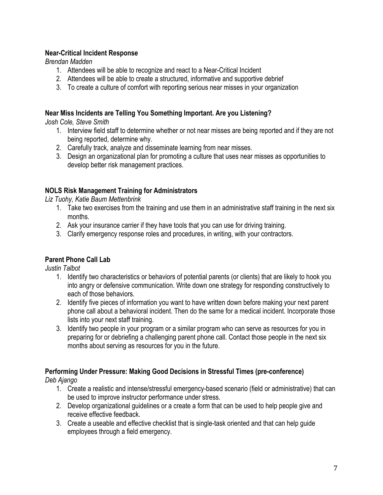#### **Near-Critical Incident Response**

*Brendan Madden*

- 1. Attendees will be able to recognize and react to a Near-Critical Incident
- 2. Attendees will be able to create a structured, informative and supportive debrief
- 3. To create a culture of comfort with reporting serious near misses in your organization

#### **Near Miss Incidents are Telling You Something Important. Are you Listening?**

*Josh Cole, Steve Smith*

- 1. Interview field staff to determine whether or not near misses are being reported and if they are not being reported, determine why.
- 2. Carefully track, analyze and disseminate learning from near misses.
- 3. Design an organizational plan for promoting a culture that uses near misses as opportunities to develop better risk management practices.

#### **NOLS Risk Management Training for Administrators**

*Liz Tuohy, Katie Baum Mettenbrink*

- 1. Take two exercises from the training and use them in an administrative staff training in the next six months.
- 2. Ask your insurance carrier if they have tools that you can use for driving training.
- 3. Clarify emergency response roles and procedures, in writing, with your contractors.

#### **Parent Phone Call Lab**

*Justin Talbot*

- 1. Identify two characteristics or behaviors of potential parents (or clients) that are likely to hook you into angry or defensive communication. Write down one strategy for responding constructively to each of those behaviors.
- 2. Identify five pieces of information you want to have written down before making your next parent phone call about a behavioral incident. Then do the same for a medical incident. Incorporate those lists into your next staff training.
- 3. Identify two people in your program or a similar program who can serve as resources for you in preparing for or debriefing a challenging parent phone call. Contact those people in the next six months about serving as resources for you in the future.

# **Performing Under Pressure: Making Good Decisions in Stressful Times (pre-conference)**

*Deb Ajango*

- 1. Create a realistic and intense/stressful emergency-based scenario (field or administrative) that can be used to improve instructor performance under stress.
- 2. Develop organizational guidelines or a create a form that can be used to help people give and receive effective feedback.
- 3. Create a useable and effective checklist that is single-task oriented and that can help guide employees through a field emergency.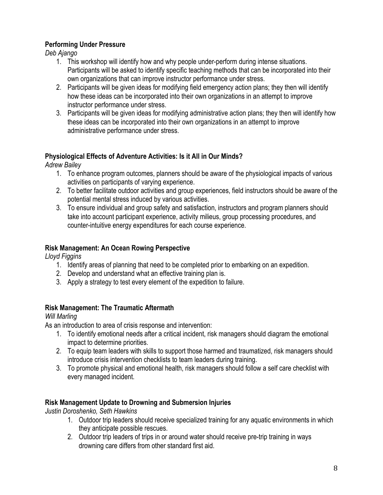#### **Performing Under Pressure**

*Deb Ajango*

- 1. This workshop will identify how and why people under-perform during intense situations. Participants will be asked to identify specific teaching methods that can be incorporated into their own organizations that can improve instructor performance under stress.
- 2. Participants will be given ideas for modifying field emergency action plans; they then will identify how these ideas can be incorporated into their own organizations in an attempt to improve instructor performance under stress.
- 3. Participants will be given ideas for modifying administrative action plans; they then will identify how these ideas can be incorporated into their own organizations in an attempt to improve administrative performance under stress.

#### **Physiological Effects of Adventure Activities: Is it All in Our Minds?**

*Adrew Bailey*

- 1. To enhance program outcomes, planners should be aware of the physiological impacts of various activities on participants of varying experience.
- 2. To better facilitate outdoor activities and group experiences, field instructors should be aware of the potential mental stress induced by various activities.
- 3. To ensure individual and group safety and satisfaction, instructors and program planners should take into account participant experience, activity milieus, group processing procedures, and counter-intuitive energy expenditures for each course experience.

#### **Risk Management: An Ocean Rowing Perspective**

*Lloyd Figgins*

- 1. Identify areas of planning that need to be completed prior to embarking on an expedition.
- 2. Develop and understand what an effective training plan is.
- 3. Apply a strategy to test every element of the expedition to failure.

#### **Risk Management: The Traumatic Aftermath**

#### *Will Marling*

As an introduction to area of crisis response and intervention:

- 1. To identify emotional needs after a critical incident, risk managers should diagram the emotional impact to determine priorities.
- 2. To equip team leaders with skills to support those harmed and traumatized, risk managers should introduce crisis intervention checklists to team leaders during training.
- 3. To promote physical and emotional health, risk managers should follow a self care checklist with every managed incident.

#### **Risk Management Update to Drowning and Submersion Injuries**

*Justin Doroshenko, Seth Hawkins*

- 1. Outdoor trip leaders should receive specialized training for any aquatic environments in which they anticipate possible rescues.
- 2. Outdoor trip leaders of trips in or around water should receive pre-trip training in ways drowning care differs from other standard first aid.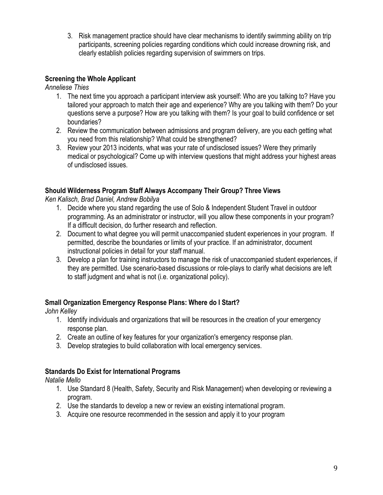3. Risk management practice should have clear mechanisms to identify swimming ability on trip participants, screening policies regarding conditions which could increase drowning risk, and clearly establish policies regarding supervision of swimmers on trips.

#### **Screening the Whole Applicant**

*Anneliese Thies*

- 1. The next time you approach a participant interview ask yourself: Who are you talking to? Have you tailored your approach to match their age and experience? Why are you talking with them? Do your questions serve a purpose? How are you talking with them? Is your goal to build confidence or set boundaries?
- 2. Review the communication between admissions and program delivery, are you each getting what you need from this relationship? What could be strengthened?
- 3. Review your 2013 incidents, what was your rate of undisclosed issues? Were they primarily medical or psychological? Come up with interview questions that might address your highest areas of undisclosed issues.

#### **Should Wilderness Program Staff Always Accompany Their Group? Three Views**

*Ken Kalisch, Brad Daniel, Andrew Bobilya*

- 1. Decide where you stand regarding the use of Solo & Independent Student Travel in outdoor programming. As an administrator or instructor, will you allow these components in your program? If a difficult decision, do further research and reflection.
- 2. Document to what degree you will permit unaccompanied student experiences in your program. If permitted, describe the boundaries or limits of your practice. If an administrator, document instructional policies in detail for your staff manual.
- 3. Develop a plan for training instructors to manage the risk of unaccompanied student experiences, if they are permitted. Use scenario-based discussions or role-plays to clarify what decisions are left to staff judgment and what is not (i.e. organizational policy).

#### **Small Organization Emergency Response Plans: Where do I Start?**

*John Kelley*

- 1. Identify individuals and organizations that will be resources in the creation of your emergency response plan.
- 2. Create an outline of key features for your organization's emergency response plan.
- 3. Develop strategies to build collaboration with local emergency services.

#### **Standards Do Exist for International Programs**

*Natalie Mello*

- 1. Use Standard 8 (Health, Safety, Security and Risk Management) when developing or reviewing a program.
- 2. Use the standards to develop a new or review an existing international program.
- 3. Acquire one resource recommended in the session and apply it to your program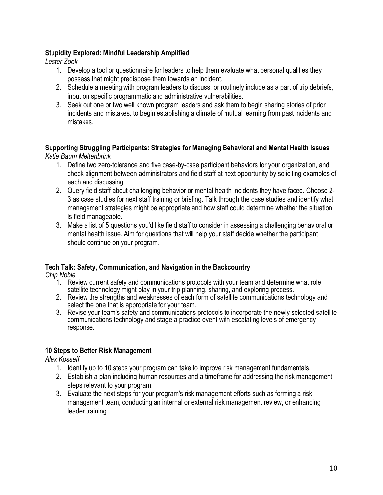#### **Stupidity Explored: Mindful Leadership Amplified**

*Lester Zook*

- 1. Develop a tool or questionnaire for leaders to help them evaluate what personal qualities they possess that might predispose them towards an incident.
- 2. Schedule a meeting with program leaders to discuss, or routinely include as a part of trip debriefs, input on specific programmatic and administrative vulnerabilities.
- 3. Seek out one or two well known program leaders and ask them to begin sharing stories of prior incidents and mistakes, to begin establishing a climate of mutual learning from past incidents and mistakes.

#### **Supporting Struggling Participants: Strategies for Managing Behavioral and Mental Health Issues** *Katie Baum Mettenbrink*

- 1. Define two zero-tolerance and five case-by-case participant behaviors for your organization, and check alignment between administrators and field staff at next opportunity by soliciting examples of each and discussing.
- 2. Query field staff about challenging behavior or mental health incidents they have faced. Choose 2- 3 as case studies for next staff training or briefing. Talk through the case studies and identify what management strategies might be appropriate and how staff could determine whether the situation is field manageable.
- 3. Make a list of 5 questions you'd like field staff to consider in assessing a challenging behavioral or mental health issue. Aim for questions that will help your staff decide whether the participant should continue on your program.

#### **Tech Talk: Safety, Communication, and Navigation in the Backcountry**

*Chip Noble*

- 1. Review current safety and communications protocols with your team and determine what role satellite technology might play in your trip planning, sharing, and exploring process.
- 2. Review the strengths and weaknesses of each form of satellite communications technology and select the one that is appropriate for your team.
- 3. Revise your team's safety and communications protocols to incorporate the newly selected satellite communications technology and stage a practice event with escalating levels of emergency response.

#### **10 Steps to Better Risk Management**

*Alex Kosseff*

- 1. Identify up to 10 steps your program can take to improve risk management fundamentals.
- 2. Establish a plan including human resources and a timeframe for addressing the risk management steps relevant to your program.
- 3. Evaluate the next steps for your program's risk management efforts such as forming a risk management team, conducting an internal or external risk management review, or enhancing leader training.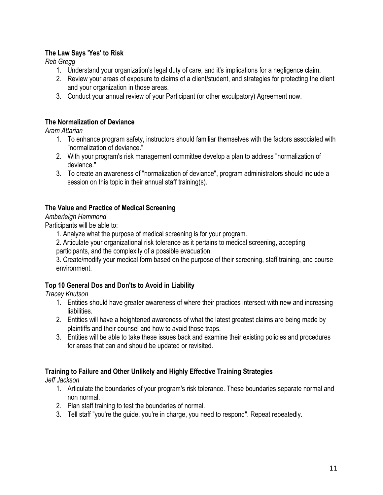#### **The Law Says 'Yes' to Risk**

*Reb Gregg*

- 1. Understand your organization's legal duty of care, and it's implications for a negligence claim.
- 2. Review your areas of exposure to claims of a client/student, and strategies for protecting the client and your organization in those areas.
- 3. Conduct your annual review of your Participant (or other exculpatory) Agreement now.

#### **The Normalization of Deviance**

*Aram Attarian*

- 1. To enhance program safety, instructors should familiar themselves with the factors associated with "normalization of deviance."
- 2. With your program's risk management committee develop a plan to address "normalization of deviance."
- 3. To create an awareness of "normalization of deviance", program administrators should include a session on this topic in their annual staff training(s).

#### **The Value and Practice of Medical Screening**

#### *Amberleigh Hammond*

Participants will be able to:

1. Analyze what the purpose of medical screening is for your program.

2. Articulate your organizational risk tolerance as it pertains to medical screening, accepting participants, and the complexity of a possible evacuation.

3. Create/modify your medical form based on the purpose of their screening, staff training, and course environment.

#### **Top 10 General Dos and Don'ts to Avoid in Liability**

*Tracey Knutson*

- 1. Entities should have greater awareness of where their practices intersect with new and increasing liabilities.
- 2. Entities will have a heightened awareness of what the latest greatest claims are being made by plaintiffs and their counsel and how to avoid those traps.
- 3. Entities will be able to take these issues back and examine their existing policies and procedures for areas that can and should be updated or revisited.

#### **Training to Failure and Other Unlikely and Highly Effective Training Strategies**

*Jeff Jackson*

- 1. Articulate the boundaries of your program's risk tolerance. These boundaries separate normal and non normal.
- 2. Plan staff training to test the boundaries of normal.
- 3. Tell staff "you're the guide, you're in charge, you need to respond". Repeat repeatedly.